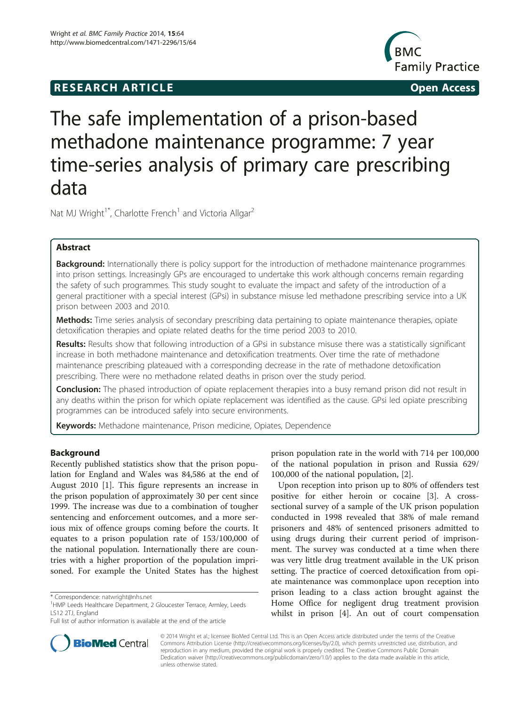# **RESEARCH ARTICLE Example 2014 CONSIDERING CONSIDERING CONSIDERING CONSIDERING CONSIDERING CONSIDERING CONSIDERING CONSIDERING CONSIDERING CONSIDERING CONSIDERING CONSIDERING CONSIDERING CONSIDERING CONSIDERING CONSIDE**



# The safe implementation of a prison-based methadone maintenance programme: 7 year time-series analysis of primary care prescribing data

Nat MJ Wright<sup>1\*</sup>, Charlotte French<sup>1</sup> and Victoria Allgar<sup>2</sup>

# Abstract

**Background:** Internationally there is policy support for the introduction of methadone maintenance programmes into prison settings. Increasingly GPs are encouraged to undertake this work although concerns remain regarding the safety of such programmes. This study sought to evaluate the impact and safety of the introduction of a general practitioner with a special interest (GPsi) in substance misuse led methadone prescribing service into a UK prison between 2003 and 2010.

Methods: Time series analysis of secondary prescribing data pertaining to opiate maintenance therapies, opiate detoxification therapies and opiate related deaths for the time period 2003 to 2010.

Results: Results show that following introduction of a GPsi in substance misuse there was a statistically significant increase in both methadone maintenance and detoxification treatments. Over time the rate of methadone maintenance prescribing plateaued with a corresponding decrease in the rate of methadone detoxification prescribing. There were no methadone related deaths in prison over the study period.

**Conclusion:** The phased introduction of opiate replacement therapies into a busy remand prison did not result in any deaths within the prison for which opiate replacement was identified as the cause. GPsi led opiate prescribing programmes can be introduced safely into secure environments.

Keywords: Methadone maintenance, Prison medicine, Opiates, Dependence

# Background

Recently published statistics show that the prison population for England and Wales was 84,586 at the end of August 2010 [[1\]](#page-6-0). This figure represents an increase in the prison population of approximately 30 per cent since 1999. The increase was due to a combination of tougher sentencing and enforcement outcomes, and a more serious mix of offence groups coming before the courts. It equates to a prison population rate of 153/100,000 of the national population. Internationally there are countries with a higher proportion of the population imprisoned. For example the United States has the highest

prison population rate in the world with 714 per 100,000 of the national population in prison and Russia 629/ 100,000 of the national population, [\[2](#page-6-0)].

Upon reception into prison up to 80% of offenders test positive for either heroin or cocaine [[3\]](#page-6-0). A crosssectional survey of a sample of the UK prison population conducted in 1998 revealed that 38% of male remand prisoners and 48% of sentenced prisoners admitted to using drugs during their current period of imprisonment. The survey was conducted at a time when there was very little drug treatment available in the UK prison setting. The practice of coerced detoxification from opiate maintenance was commonplace upon reception into prison leading to a class action brought against the Home Office for negligent drug treatment provision whilst in prison [\[4](#page-6-0)]. An out of court compensation



© 2014 Wright et al.; licensee BioMed Central Ltd. This is an Open Access article distributed under the terms of the Creative Commons Attribution License [\(http://creativecommons.org/licenses/by/2.0\)](http://creativecommons.org/licenses/by/2.0), which permits unrestricted use, distribution, and reproduction in any medium, provided the original work is properly credited. The Creative Commons Public Domain Dedication waiver [\(http://creativecommons.org/publicdomain/zero/1.0/](http://creativecommons.org/publicdomain/zero/1.0/)) applies to the data made available in this article, unless otherwise stated.

<sup>\*</sup> Correspondence: [natwright@nhs.net](mailto:natwright@nhs.net) <sup>1</sup>

<sup>&</sup>lt;sup>1</sup>HMP Leeds Healthcare Department, 2 Gloucester Terrace, Armley, Leeds LS12 2TJ, England

Full list of author information is available at the end of the article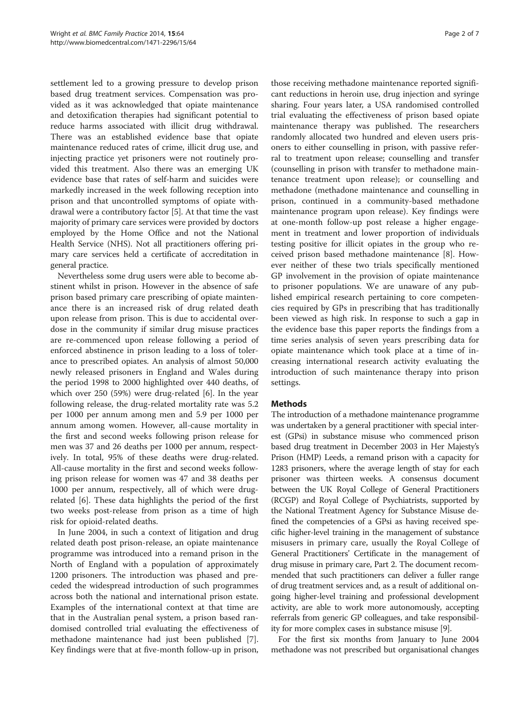settlement led to a growing pressure to develop prison based drug treatment services. Compensation was provided as it was acknowledged that opiate maintenance and detoxification therapies had significant potential to reduce harms associated with illicit drug withdrawal. There was an established evidence base that opiate maintenance reduced rates of crime, illicit drug use, and injecting practice yet prisoners were not routinely provided this treatment. Also there was an emerging UK evidence base that rates of self-harm and suicides were markedly increased in the week following reception into prison and that uncontrolled symptoms of opiate withdrawal were a contributory factor [[5\]](#page-6-0). At that time the vast majority of primary care services were provided by doctors employed by the Home Office and not the National Health Service (NHS). Not all practitioners offering primary care services held a certificate of accreditation in general practice.

Nevertheless some drug users were able to become abstinent whilst in prison. However in the absence of safe prison based primary care prescribing of opiate maintenance there is an increased risk of drug related death upon release from prison. This is due to accidental overdose in the community if similar drug misuse practices are re-commenced upon release following a period of enforced abstinence in prison leading to a loss of tolerance to prescribed opiates. An analysis of almost 50,000 newly released prisoners in England and Wales during the period 1998 to 2000 highlighted over 440 deaths, of which over 250 (59%) were drug-related [\[6\]](#page-6-0). In the year following release, the drug-related mortality rate was 5.2 per 1000 per annum among men and 5.9 per 1000 per annum among women. However, all-cause mortality in the first and second weeks following prison release for men was 37 and 26 deaths per 1000 per annum, respectively. In total, 95% of these deaths were drug-related. All-cause mortality in the first and second weeks following prison release for women was 47 and 38 deaths per 1000 per annum, respectively, all of which were drugrelated [[6](#page-6-0)]. These data highlights the period of the first two weeks post-release from prison as a time of high risk for opioid-related deaths.

In June 2004, in such a context of litigation and drug related death post prison-release, an opiate maintenance programme was introduced into a remand prison in the North of England with a population of approximately 1200 prisoners. The introduction was phased and preceded the widespread introduction of such programmes across both the national and international prison estate. Examples of the international context at that time are that in the Australian penal system, a prison based randomised controlled trial evaluating the effectiveness of methadone maintenance had just been published [\[7](#page-6-0)]. Key findings were that at five-month follow-up in prison,

those receiving methadone maintenance reported significant reductions in heroin use, drug injection and syringe sharing. Four years later, a USA randomised controlled trial evaluating the effectiveness of prison based opiate maintenance therapy was published. The researchers randomly allocated two hundred and eleven users prisoners to either counselling in prison, with passive referral to treatment upon release; counselling and transfer (counselling in prison with transfer to methadone maintenance treatment upon release); or counselling and methadone (methadone maintenance and counselling in prison, continued in a community-based methadone maintenance program upon release). Key findings were at one-month follow-up post release a higher engagement in treatment and lower proportion of individuals testing positive for illicit opiates in the group who received prison based methadone maintenance [\[8\]](#page-6-0). However neither of these two trials specifically mentioned GP involvement in the provision of opiate maintenance to prisoner populations. We are unaware of any published empirical research pertaining to core competencies required by GPs in prescribing that has traditionally been viewed as high risk. In response to such a gap in the evidence base this paper reports the findings from a time series analysis of seven years prescribing data for opiate maintenance which took place at a time of increasing international research activity evaluating the introduction of such maintenance therapy into prison settings.

# **Methods**

The introduction of a methadone maintenance programme was undertaken by a general practitioner with special interest (GPsi) in substance misuse who commenced prison based drug treatment in December 2003 in Her Majesty's Prison (HMP) Leeds, a remand prison with a capacity for 1283 prisoners, where the average length of stay for each prisoner was thirteen weeks. A consensus document between the UK Royal College of General Practitioners (RCGP) and Royal College of Psychiatrists, supported by the National Treatment Agency for Substance Misuse defined the competencies of a GPsi as having received specific higher-level training in the management of substance misusers in primary care, usually the Royal College of General Practitioners' Certificate in the management of drug misuse in primary care, Part 2. The document recommended that such practitioners can deliver a fuller range of drug treatment services and, as a result of additional ongoing higher-level training and professional development activity, are able to work more autonomously, accepting referrals from generic GP colleagues, and take responsibility for more complex cases in substance misuse [\[9\]](#page-6-0).

For the first six months from January to June 2004 methadone was not prescribed but organisational changes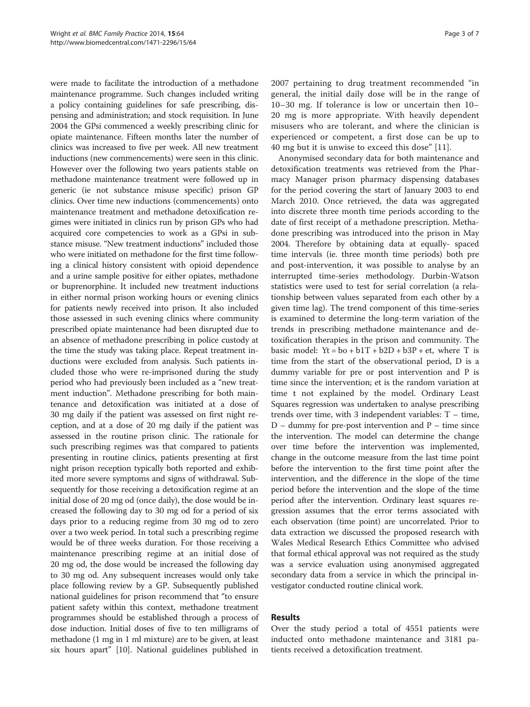were made to facilitate the introduction of a methadone maintenance programme. Such changes included writing a policy containing guidelines for safe prescribing, dispensing and administration; and stock requisition. In June 2004 the GPsi commenced a weekly prescribing clinic for opiate maintenance. Fifteen months later the number of clinics was increased to five per week. All new treatment inductions (new commencements) were seen in this clinic. However over the following two years patients stable on methadone maintenance treatment were followed up in generic (ie not substance misuse specific) prison GP clinics. Over time new inductions (commencements) onto maintenance treatment and methadone detoxification regimes were initiated in clinics run by prison GPs who had acquired core competencies to work as a GPsi in substance misuse. "New treatment inductions" included those who were initiated on methadone for the first time following a clinical history consistent with opioid dependence and a urine sample positive for either opiates, methadone or buprenorphine. It included new treatment inductions in either normal prison working hours or evening clinics for patients newly received into prison. It also included those assessed in such evening clinics where community prescribed opiate maintenance had been disrupted due to an absence of methadone prescribing in police custody at the time the study was taking place. Repeat treatment inductions were excluded from analysis. Such patients included those who were re-imprisoned during the study period who had previously been included as a "new treatment induction". Methadone prescribing for both maintenance and detoxification was initiated at a dose of 30 mg daily if the patient was assessed on first night reception, and at a dose of 20 mg daily if the patient was assessed in the routine prison clinic. The rationale for such prescribing regimes was that compared to patients presenting in routine clinics, patients presenting at first night prison reception typically both reported and exhibited more severe symptoms and signs of withdrawal. Subsequently for those receiving a detoxification regime at an initial dose of 20 mg od (once daily), the dose would be increased the following day to 30 mg od for a period of six days prior to a reducing regime from 30 mg od to zero over a two week period. In total such a prescribing regime would be of three weeks duration. For those receiving a maintenance prescribing regime at an initial dose of 20 mg od, the dose would be increased the following day to 30 mg od. Any subsequent increases would only take place following review by a GP. Subsequently published national guidelines for prison recommend that "to ensure patient safety within this context, methadone treatment programmes should be established through a process of dose induction. Initial doses of five to ten milligrams of methadone (1 mg in 1 ml mixture) are to be given, at least six hours apart" [\[10](#page-6-0)]. National guidelines published in

2007 pertaining to drug treatment recommended "in general, the initial daily dose will be in the range of 10–30 mg. If tolerance is low or uncertain then 10– 20 mg is more appropriate. With heavily dependent misusers who are tolerant, and where the clinician is experienced or competent, a first dose can be up to 40 mg but it is unwise to exceed this dose" [[11](#page-6-0)].

Anonymised secondary data for both maintenance and detoxification treatments was retrieved from the Pharmacy Manager prison pharmacy dispensing databases for the period covering the start of January 2003 to end March 2010. Once retrieved, the data was aggregated into discrete three month time periods according to the date of first receipt of a methadone prescription. Methadone prescribing was introduced into the prison in May 2004. Therefore by obtaining data at equally- spaced time intervals (ie. three month time periods) both pre and post-intervention, it was possible to analyse by an interrupted time-series methodology. Durbin-Watson statistics were used to test for serial correlation (a relationship between values separated from each other by a given time lag). The trend component of this time-series is examined to determine the long-term variation of the trends in prescribing methadone maintenance and detoxification therapies in the prison and community. The basic model:  $Yt = bo + b1T + b2D + b3P + et$ , where T is time from the start of the observational period, D is a dummy variable for pre or post intervention and P is time since the intervention; et is the random variation at time t not explained by the model. Ordinary Least Squares regression was undertaken to analyse prescribing trends over time, with 3 independent variables: T – time,  $D$  – dummy for pre-post intervention and  $P$  – time since the intervention. The model can determine the change over time before the intervention was implemented, change in the outcome measure from the last time point before the intervention to the first time point after the intervention, and the difference in the slope of the time period before the intervention and the slope of the time period after the intervention. Ordinary least squares regression assumes that the error terms associated with each observation (time point) are uncorrelated. Prior to data extraction we discussed the proposed research with Wales Medical Research Ethics Committee who advised that formal ethical approval was not required as the study was a service evaluation using anonymised aggregated secondary data from a service in which the principal investigator conducted routine clinical work.

# Results

Over the study period a total of 4551 patients were inducted onto methadone maintenance and 3181 patients received a detoxification treatment.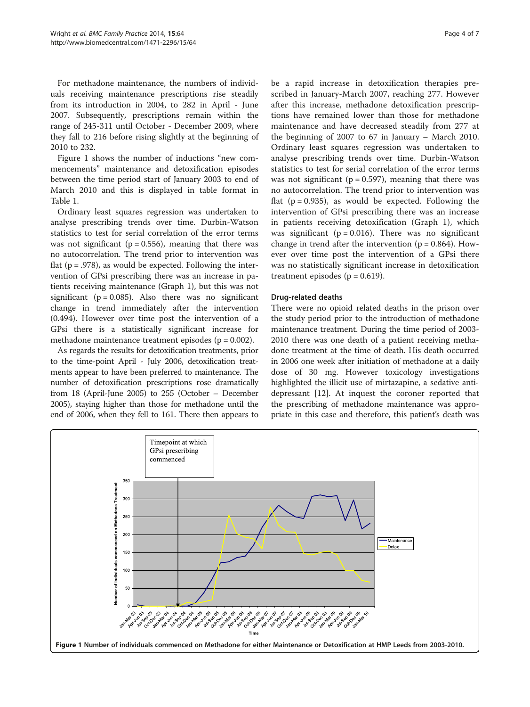For methadone maintenance, the numbers of individuals receiving maintenance prescriptions rise steadily from its introduction in 2004, to 282 in April - June 2007. Subsequently, prescriptions remain within the range of 245-311 until October - December 2009, where they fall to 216 before rising slightly at the beginning of 2010 to 232.

Figure 1 shows the number of inductions "new commencements" maintenance and detoxification episodes between the time period start of January 2003 to end of March 2010 and this is displayed in table format in Table [1.](#page-4-0)

Ordinary least squares regression was undertaken to analyse prescribing trends over time. Durbin-Watson statistics to test for serial correlation of the error terms was not significant ( $p = 0.556$ ), meaning that there was no autocorrelation. The trend prior to intervention was flat ( $p = .978$ ), as would be expected. Following the intervention of GPsi prescribing there was an increase in patients receiving maintenance (Graph 1), but this was not significant ( $p = 0.085$ ). Also there was no significant change in trend immediately after the intervention (0.494). However over time post the intervention of a GPsi there is a statistically significant increase for methadone maintenance treatment episodes ( $p = 0.002$ ).

As regards the results for detoxification treatments, prior to the time-point April - July 2006, detoxification treatments appear to have been preferred to maintenance. The number of detoxification prescriptions rose dramatically from 18 (April-June 2005) to 255 (October – December 2005), staying higher than those for methadone until the end of 2006, when they fell to 161. There then appears to be a rapid increase in detoxification therapies prescribed in January-March 2007, reaching 277. However after this increase, methadone detoxification prescriptions have remained lower than those for methadone maintenance and have decreased steadily from 277 at the beginning of 2007 to 67 in January – March 2010. Ordinary least squares regression was undertaken to analyse prescribing trends over time. Durbin-Watson statistics to test for serial correlation of the error terms was not significant ( $p = 0.597$ ), meaning that there was no autocorrelation. The trend prior to intervention was flat  $(p = 0.935)$ , as would be expected. Following the intervention of GPsi prescribing there was an increase in patients receiving detoxification (Graph 1), which was significant ( $p = 0.016$ ). There was no significant change in trend after the intervention  $(p = 0.864)$ . However over time post the intervention of a GPsi there was no statistically significant increase in detoxification treatment episodes ( $p = 0.619$ ).

### Drug-related deaths

There were no opioid related deaths in the prison over the study period prior to the introduction of methadone maintenance treatment. During the time period of 2003- 2010 there was one death of a patient receiving methadone treatment at the time of death. His death occurred in 2006 one week after initiation of methadone at a daily dose of 30 mg. However toxicology investigations highlighted the illicit use of mirtazapine, a sedative antidepressant [[12](#page-6-0)]. At inquest the coroner reported that the prescribing of methadone maintenance was appropriate in this case and therefore, this patient's death was

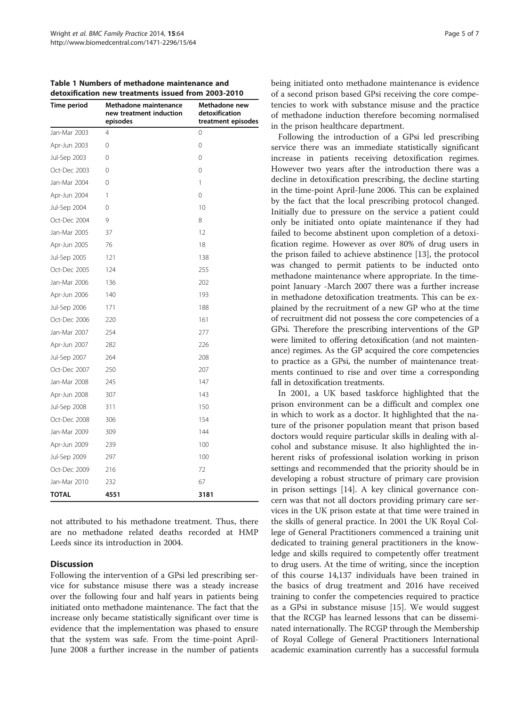<span id="page-4-0"></span>Table 1 Numbers of methadone maintenance and detoxification new treatments issued from 2003-2010

| Time period  | Methadone maintenance<br>new treatment induction<br>episodes | Methadone new<br>detoxification<br>treatment episodes |
|--------------|--------------------------------------------------------------|-------------------------------------------------------|
| Jan-Mar 2003 | $\overline{4}$                                               | 0                                                     |
| Apr-Jun 2003 | 0                                                            | 0                                                     |
| Jul-Sep 2003 | $\Omega$                                                     | 0                                                     |
| Oct-Dec 2003 | $\Omega$                                                     | 0                                                     |
| Jan-Mar 2004 | 0                                                            | 1                                                     |
| Apr-Jun 2004 | 1                                                            | $\Omega$                                              |
| Jul-Sep 2004 | 0                                                            | 10                                                    |
| Oct-Dec 2004 | 9                                                            | 8                                                     |
| Jan-Mar 2005 | 37                                                           | 12                                                    |
| Apr-Jun 2005 | 76                                                           | 18                                                    |
| Jul-Sep 2005 | 121                                                          | 138                                                   |
| Oct-Dec 2005 | 124                                                          | 255                                                   |
| Jan-Mar 2006 | 136                                                          | 202                                                   |
| Apr-Jun 2006 | 140                                                          | 193                                                   |
| Jul-Sep 2006 | 171                                                          | 188                                                   |
| Oct-Dec 2006 | 220                                                          | 161                                                   |
| Jan-Mar 2007 | 254                                                          | 277                                                   |
| Apr-Jun 2007 | 282                                                          | 226                                                   |
| Jul-Sep 2007 | 264                                                          | 208                                                   |
| Oct-Dec 2007 | 250                                                          | 207                                                   |
| Jan-Mar 2008 | 245                                                          | 147                                                   |
| Apr-Jun 2008 | 307                                                          | 143                                                   |
| Jul-Sep 2008 | 311                                                          | 150                                                   |
| Oct-Dec 2008 | 306                                                          | 154                                                   |
| Jan-Mar 2009 | 309                                                          | 144                                                   |
| Apr-Jun 2009 | 239                                                          | 100                                                   |
| Jul-Sep 2009 | 297                                                          | 100                                                   |
| Oct-Dec 2009 | 216                                                          | 72                                                    |
| Jan-Mar 2010 | 232                                                          | 67                                                    |
| <b>TOTAL</b> | 4551                                                         | 3181                                                  |

not attributed to his methadone treatment. Thus, there are no methadone related deaths recorded at HMP Leeds since its introduction in 2004.

# **Discussion**

Following the intervention of a GPsi led prescribing service for substance misuse there was a steady increase over the following four and half years in patients being initiated onto methadone maintenance. The fact that the increase only became statistically significant over time is evidence that the implementation was phased to ensure that the system was safe. From the time-point April-June 2008 a further increase in the number of patients being initiated onto methadone maintenance is evidence of a second prison based GPsi receiving the core competencies to work with substance misuse and the practice of methadone induction therefore becoming normalised in the prison healthcare department.

Following the introduction of a GPsi led prescribing service there was an immediate statistically significant increase in patients receiving detoxification regimes. However two years after the introduction there was a decline in detoxification prescribing, the decline starting in the time-point April-June 2006. This can be explained by the fact that the local prescribing protocol changed. Initially due to pressure on the service a patient could only be initiated onto opiate maintenance if they had failed to become abstinent upon completion of a detoxification regime. However as over 80% of drug users in the prison failed to achieve abstinence [[13](#page-6-0)], the protocol was changed to permit patients to be inducted onto methadone maintenance where appropriate. In the timepoint January -March 2007 there was a further increase in methadone detoxification treatments. This can be explained by the recruitment of a new GP who at the time of recruitment did not possess the core competencies of a GPsi. Therefore the prescribing interventions of the GP were limited to offering detoxification (and not maintenance) regimes. As the GP acquired the core competencies to practice as a GPsi, the number of maintenance treatments continued to rise and over time a corresponding fall in detoxification treatments.

In 2001, a UK based taskforce highlighted that the prison environment can be a difficult and complex one in which to work as a doctor. It highlighted that the nature of the prisoner population meant that prison based doctors would require particular skills in dealing with alcohol and substance misuse. It also highlighted the inherent risks of professional isolation working in prison settings and recommended that the priority should be in developing a robust structure of primary care provision in prison settings [\[14](#page-6-0)]. A key clinical governance concern was that not all doctors providing primary care services in the UK prison estate at that time were trained in the skills of general practice. In 2001 the UK Royal College of General Practitioners commenced a training unit dedicated to training general practitioners in the knowledge and skills required to competently offer treatment to drug users. At the time of writing, since the inception of this course 14,137 individuals have been trained in the basics of drug treatment and 2016 have received training to confer the competencies required to practice as a GPsi in substance misuse [\[15](#page-6-0)]. We would suggest that the RCGP has learned lessons that can be disseminated internationally. The RCGP through the Membership of Royal College of General Practitioners International academic examination currently has a successful formula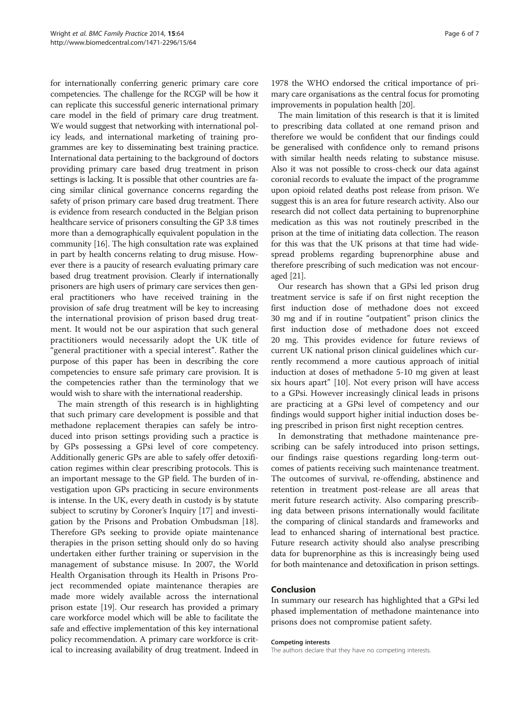for internationally conferring generic primary care core competencies. The challenge for the RCGP will be how it can replicate this successful generic international primary care model in the field of primary care drug treatment. We would suggest that networking with international policy leads, and international marketing of training programmes are key to disseminating best training practice. International data pertaining to the background of doctors providing primary care based drug treatment in prison settings is lacking. It is possible that other countries are facing similar clinical governance concerns regarding the safety of prison primary care based drug treatment. There is evidence from research conducted in the Belgian prison healthcare service of prisoners consulting the GP 3.8 times more than a demographically equivalent population in the community [\[16](#page-6-0)]. The high consultation rate was explained in part by health concerns relating to drug misuse. However there is a paucity of research evaluating primary care based drug treatment provision. Clearly if internationally prisoners are high users of primary care services then general practitioners who have received training in the provision of safe drug treatment will be key to increasing the international provision of prison based drug treatment. It would not be our aspiration that such general practitioners would necessarily adopt the UK title of "general practitioner with a special interest". Rather the purpose of this paper has been in describing the core competencies to ensure safe primary care provision. It is the competencies rather than the terminology that we would wish to share with the international readership.

The main strength of this research is in highlighting that such primary care development is possible and that methadone replacement therapies can safely be introduced into prison settings providing such a practice is by GPs possessing a GPsi level of core competency. Additionally generic GPs are able to safely offer detoxification regimes within clear prescribing protocols. This is an important message to the GP field. The burden of investigation upon GPs practicing in secure environments is intense. In the UK, every death in custody is by statute subject to scrutiny by Coroner's Inquiry [\[17](#page-6-0)] and investigation by the Prisons and Probation Ombudsman [\[18](#page-6-0)]. Therefore GPs seeking to provide opiate maintenance therapies in the prison setting should only do so having undertaken either further training or supervision in the management of substance misuse. In 2007, the World Health Organisation through its Health in Prisons Project recommended opiate maintenance therapies are made more widely available across the international prison estate [\[19\]](#page-6-0). Our research has provided a primary care workforce model which will be able to facilitate the safe and effective implementation of this key international policy recommendation. A primary care workforce is critical to increasing availability of drug treatment. Indeed in

1978 the WHO endorsed the critical importance of primary care organisations as the central focus for promoting improvements in population health [[20](#page-6-0)].

The main limitation of this research is that it is limited to prescribing data collated at one remand prison and therefore we would be confident that our findings could be generalised with confidence only to remand prisons with similar health needs relating to substance misuse. Also it was not possible to cross-check our data against coronial records to evaluate the impact of the programme upon opioid related deaths post release from prison. We suggest this is an area for future research activity. Also our research did not collect data pertaining to buprenorphine medication as this was not routinely prescribed in the prison at the time of initiating data collection. The reason for this was that the UK prisons at that time had widespread problems regarding buprenorphine abuse and therefore prescribing of such medication was not encouraged [[21](#page-6-0)].

Our research has shown that a GPsi led prison drug treatment service is safe if on first night reception the first induction dose of methadone does not exceed 30 mg and if in routine "outpatient" prison clinics the first induction dose of methadone does not exceed 20 mg. This provides evidence for future reviews of current UK national prison clinical guidelines which currently recommend a more cautious approach of initial induction at doses of methadone 5-10 mg given at least six hours apart" [[10](#page-6-0)]. Not every prison will have access to a GPsi. However increasingly clinical leads in prisons are practicing at a GPsi level of competency and our findings would support higher initial induction doses being prescribed in prison first night reception centres.

In demonstrating that methadone maintenance prescribing can be safely introduced into prison settings, our findings raise questions regarding long-term outcomes of patients receiving such maintenance treatment. The outcomes of survival, re-offending, abstinence and retention in treatment post-release are all areas that merit future research activity. Also comparing prescribing data between prisons internationally would facilitate the comparing of clinical standards and frameworks and lead to enhanced sharing of international best practice. Future research activity should also analyse prescribing data for buprenorphine as this is increasingly being used for both maintenance and detoxification in prison settings.

# Conclusion

In summary our research has highlighted that a GPsi led phased implementation of methadone maintenance into prisons does not compromise patient safety.

#### Competing interests

The authors declare that they have no competing interests.